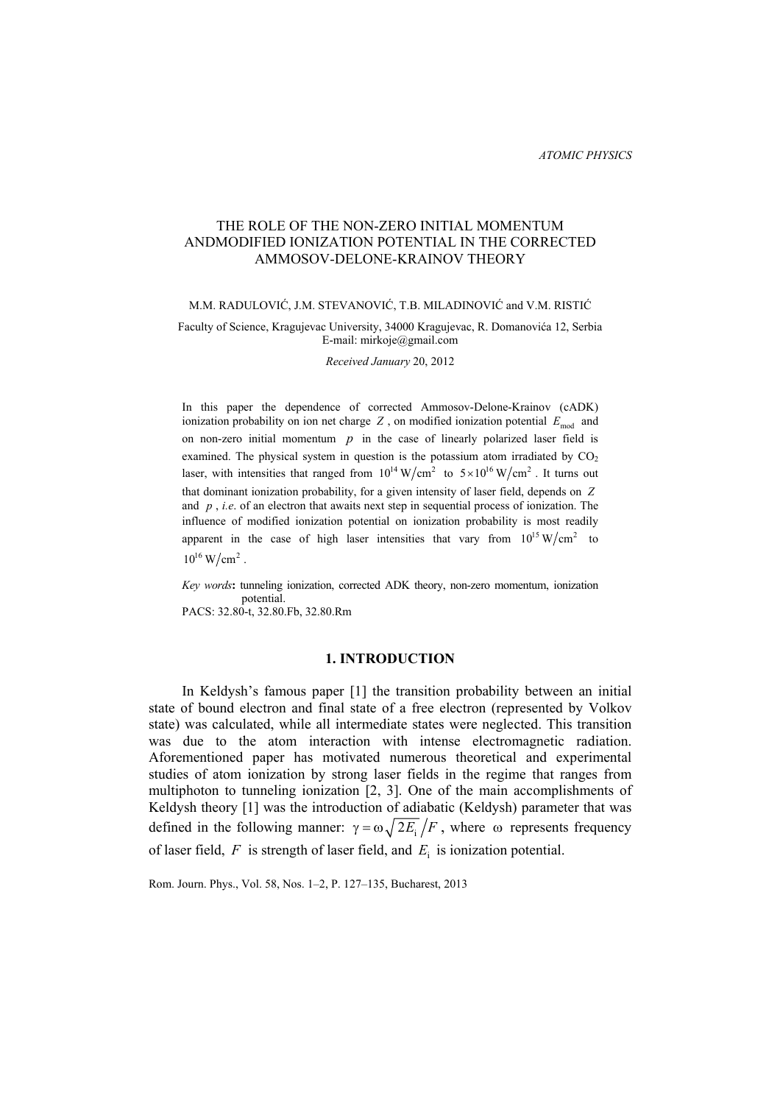# THE ROLE OF THE NON-ZERO INITIAL MOMENTUM ANDMODIFIED IONIZATION POTENTIAL IN THE CORRECTED AMMOSOV-DELONE-KRAINOV THEORY

### M.M. RADULOVIĆ, J.M. STEVANOVIĆ, T.B. MILADINOVIĆ and V.M. RISTIĆ

### Faculty of Science, Kragujevac University, 34000 Kragujevac, R. Domanovićа 12, Serbia E-mail: mirkoje@gmail.com

*Received January* 20, 2012

In this paper the dependence of corrected Ammosov-Delone-Krainov (cADK) ionization probability on ion net charge  $Z$ , on modified ionization potential  $E_{mod}$  and on non-zero initial momentum  $p$  in the case of linearly polarized laser field is examined. The physical system in question is the potassium atom irradiated by  $CO<sub>2</sub>$ laser, with intensities that ranged from  $10^{14} \text{ W/cm}^2$  to  $5 \times 10^{16} \text{ W/cm}^2$ . It turns out that dominant ionization probability, for a given intensity of laser field, depends on *Z* and *p* , *i.e*. of an electron that awaits next step in sequential process of ionization. The influence of modified ionization potential on ionization probability is most readily apparent in the case of high laser intensities that vary from  $10^{15} \text{ W/cm}^2$  to  $10^{16}$  W/cm<sup>2</sup>.

*Key words***:** tunneling ionization, corrected ADK theory, non-zero momentum, ionization potential. PACS: 32.80-t, 32.80.Fb, 32.80.Rm

### **1. INTRODUCTION**

In Keldysh's famous paper [1] the transition probability between an initial state of bound electron and final state of a free electron (represented by Volkov state) was calculated, while all intermediate states were neglected. This transition was due to the atom interaction with intense electromagnetic radiation. Aforementioned paper has motivated numerous theoretical and experimental studies of atom ionization by strong laser fields in the regime that ranges from multiphoton to tunneling ionization [2, 3]. One of the main accomplishments of Keldysh theory [1] was the introduction of adiabatic (Keldysh) parameter that was defined in the following manner:  $\gamma = \omega \sqrt{2E}/F$ , where  $\omega$  represents frequency of laser field,  $F$  is strength of laser field, and  $E_i$  is ionization potential.

Rom. Journ. Phys., Vol. 58, Nos. 1–2, P. 127–135, Bucharest, 2013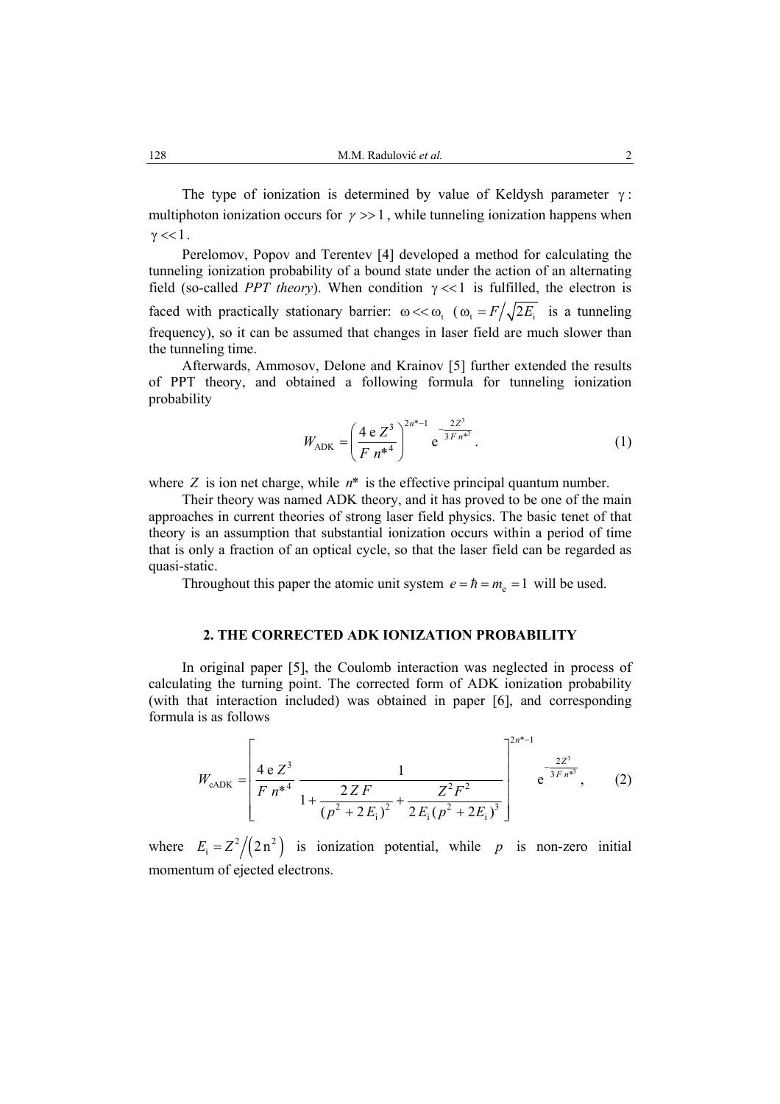The type of ionization is determined by value of Keldysh parameter  $\gamma$ : multiphoton ionization occurs for  $\gamma \gg 1$ , while tunneling ionization happens when  $\gamma \ll 1$ .

Perelomov, Popov and Terentev [4] developed a method for calculating the tunneling ionization probability of a bound state under the action of an alternating field (so-called *PPT theory*). When condition  $\gamma \ll 1$  is fulfilled, the electron is faced with practically stationary barrier:  $\omega \ll \omega$ ,  $(\omega_t = F / \sqrt{2E_t})$  is a tunneling frequency), so it can be assumed that changes in laser field are much slower than the tunneling time.

Afterwards, Ammosov, Delone and Krainov [5] further extended the results of PPT theory, and obtained a following formula for tunneling ionization probability

$$
W_{\text{ADK}} = \left(\frac{4 \text{ e } Z^3}{F n^{*4}}\right)^{2n^{*}-1} e^{-\frac{2Z^3}{3F n^{*3}}}.
$$
 (1)

where  $Z$  is ion net charge, while  $n^*$  is the effective principal quantum number.

Their theory was named ADK theory, and it has proved to be one of the main approaches in current theories of strong laser field physics. The basic tenet of that theory is an assumption that substantial ionization occurs within a period of time that is only a fraction of an optical cycle, so that the laser field can be regarded as quasi-static.

Throughout this paper the atomic unit system  $e = \hbar = m_e = 1$  will be used.

## **2. THE CORRECTED ADK IONIZATION PROBABILITY**

In original paper [5], the Coulomb interaction was neglected in process of calculating the turning point. The corrected form of ADK ionization probability (with that interaction included) was obtained in paper [6], and corresponding formula is as follows

$$
W_{\text{cADK}} = \left[ \frac{4 e Z^3}{F n^{*4}} \frac{1}{1 + \frac{2 Z F}{(p^2 + 2 E_i)^2} + \frac{Z^2 F^2}{2 E_i (p^2 + 2 E_i)^3}} \right]^{2n^{*}-1} e^{-\frac{2 Z^3}{3 F n^{*3}}}, \quad (2)
$$

where  $E_i = Z^2/(2n^2)$  is ionization potential, while *p* is non-zero initial momentum of ejected electrons.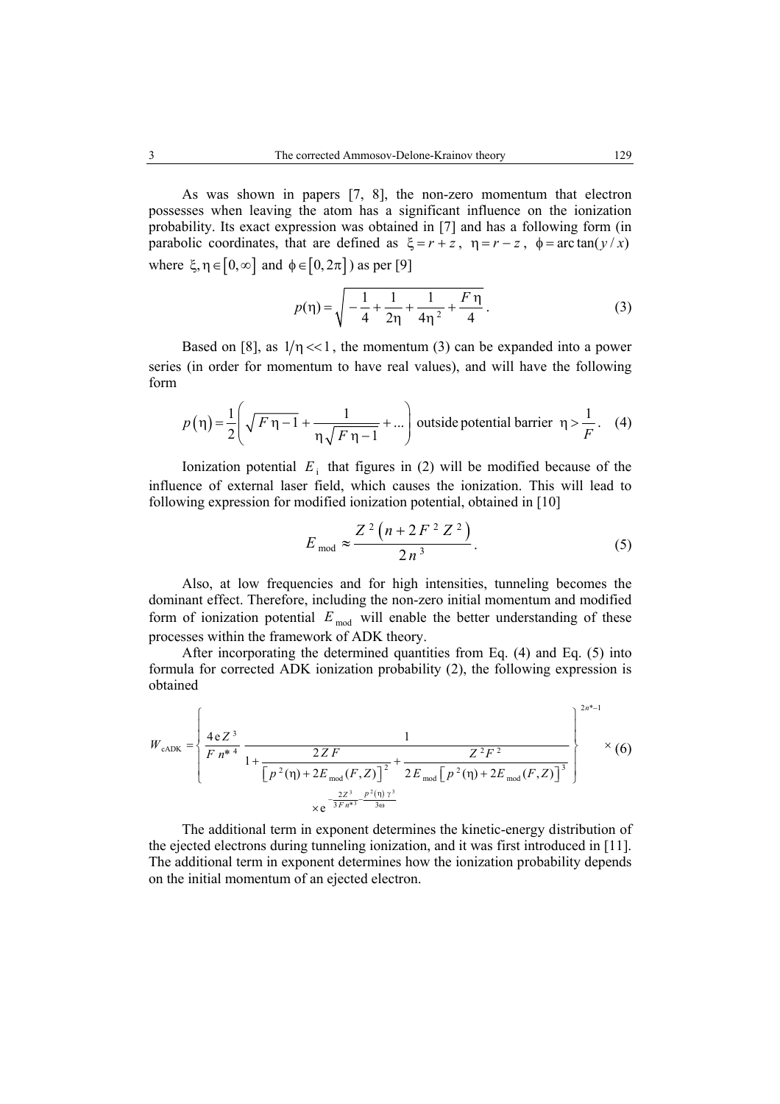As was shown in papers [7, 8], the non-zero momentum that electron possesses when leaving the atom has a significant influence on the ionization probability. Its exact expression was obtained in [7] and has a following form (in parabolic coordinates, that are defined as  $\xi = r + z$ ,  $\eta = r - z$ ,  $\phi = \arctan(y/x)$ where  $\xi, \eta \in [0, \infty]$  and  $\phi \in [0, 2\pi]$ ) as per [9]

$$
p(\eta) = \sqrt{-\frac{1}{4} + \frac{1}{2\eta} + \frac{1}{4\eta^2} + \frac{F\eta}{4}}.
$$
 (3)

Based on [8], as  $1/\eta \ll 1$ , the momentum (3) can be expanded into a power series (in order for momentum to have real values), and will have the following form

$$
p(\eta) = \frac{1}{2} \left( \sqrt{F \eta - 1} + \frac{1}{\eta \sqrt{F \eta - 1}} + \dots \right)
$$
 outside potential barrier  $\eta > \frac{1}{F}$ . (4)

Ionization potential  $E_i$  that figures in (2) will be modified because of the influence of external laser field, which causes the ionization. This will lead to following expression for modified ionization potential, obtained in [10]

$$
E_{\text{mod}} \approx \frac{Z^2 (n + 2F^2 Z^2)}{2n^3}.
$$
 (5)

Also, at low frequencies and for high intensities, tunneling becomes the dominant effect. Therefore, including the non-zero initial momentum and modified form of ionization potential  $E_{\text{mod}}$  will enable the better understanding of these processes within the framework of ADK theory.

After incorporating the determined quantities from Eq. (4) and Eq. (5) into formula for corrected ADK ionization probability (2), the following expression is obtained

$$
W_{\text{cADK}} = \left\{ \frac{4 \text{ e } Z^3}{F n^{*4}} \frac{1}{1 + \frac{2ZF}{\left[p^2(\eta) + 2E_{\text{mod}}(F, Z)\right]^2} + \frac{Z^2 F^2}{2E_{\text{mod}}\left[p^2(\eta) + 2E_{\text{mod}}(F, Z)\right]^3}} \right\} \times (6)
$$
  
 
$$
\times e^{-\frac{2Z^3}{3F n^{*3}} \frac{p^2(\eta) \gamma^3}{3\omega}}
$$

The additional term in exponent determines the kinetic-energy distribution of the ejected electrons during tunneling ionization, and it was first introduced in [11]. The additional term in exponent determines how the ionization probability depends on the initial momentum of an ejected electron.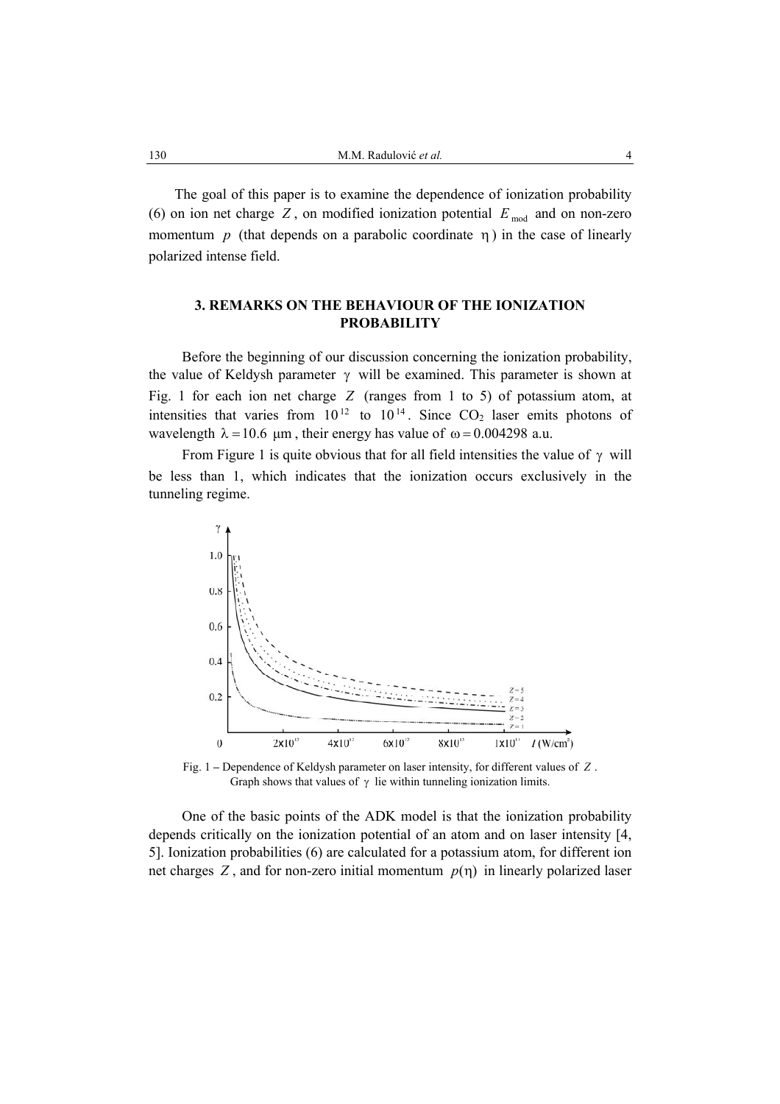The goal of this paper is to examine the dependence of ionization probability (6) on ion net charge  $Z$ , on modified ionization potential  $E_{mod}$  and on non-zero momentum  $p$  (that depends on a parabolic coordinate  $\eta$ ) in the case of linearly polarized intense field.

# **3. REMARKS ON THE BEHAVIOUR OF THE IONIZATION PROBABILITY**

Before the beginning of our discussion concerning the ionization probability, the value of Keldysh parameter  $\gamma$  will be examined. This parameter is shown at Fig. 1 for each ion net charge *Z* (ranges from 1 to 5) of potassium atom, at intensities that varies from  $10^{12}$  to  $10^{14}$ . Since  $CO<sub>2</sub>$  laser emits photons of wavelength  $\lambda = 10.6 \mu m$ , their energy has value of  $\omega = 0.004298$  a.u.

From Figure 1 is quite obvious that for all field intensities the value of  $\gamma$  will be less than 1, which indicates that the ionization occurs exclusively in the tunneling regime.



Fig. 1 **–** Dependence of Keldysh parameter on laser intensity, for different values of *Z* . Graph shows that values of  $\gamma$  lie within tunneling ionization limits.

One of the basic points of the ADK model is that the ionization probability depends critically on the ionization potential of an atom and on laser intensity [4, 5]. Ionization probabilities (6) are calculated for a potassium atom, for different ion net charges Z, and for non-zero initial momentum  $p(\eta)$  in linearly polarized laser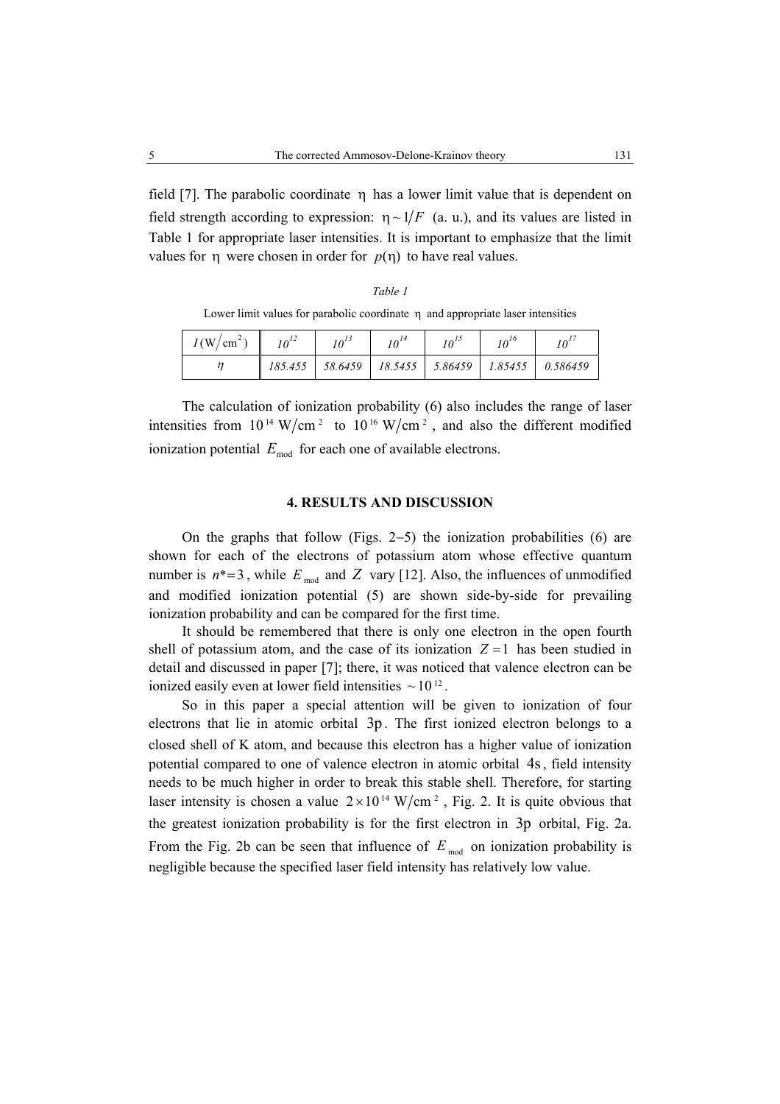field [7]. The parabolic coordinate  $\eta$  has a lower limit value that is dependent on field strength according to expression:  $\eta \sim 1/F$  (a. u.), and its values are listed in Table 1 for appropriate laser intensities. It is important to emphasize that the limit values for  $\eta$  were chosen in order for  $p(\eta)$  to have real values.

Lower limit values for parabolic coordinate n and appropriate laser intensities

| $I(W/cm^2)$ | $10^{12}$ | $10^{14}$ | $10^{1}$ | $10^{16}$ |                                                            |
|-------------|-----------|-----------|----------|-----------|------------------------------------------------------------|
|             |           |           |          |           | 185.455   58.6459   18.5455   5.86459   1.85455   0.586459 |

The calculation of ionization probability (6) also includes the range of laser intensities from  $10^{14}$  W/cm<sup>2</sup> to  $10^{16}$  W/cm<sup>2</sup>, and also the different modified ionization potential  $E_{\text{mod}}$  for each one of available electrons.

# **4. RESULTS AND DISCUSSION**

On the graphs that follow (Figs. 2−5) the ionization probabilities (6) are shown for each of the electrons of potassium atom whose effective quantum number is  $n^*=3$ , while  $E_{mod}$  and  $Z$  vary [12]. Also, the influences of unmodified and modified ionization potential (5) are shown side-by-side for prevailing ionization probability and can be compared for the first time.

It should be remembered that there is only one electron in the open fourth shell of potassium atom, and the case of its ionization  $Z = 1$  has been studied in detail and discussed in paper [7]; there, it was noticed that valence electron can be ionized easily even at lower field intensities  $\sim 10^{12}$ .

So in this paper a special attention will be given to ionization of four electrons that lie in atomic orbital 3p. The first ionized electron belongs to a closed shell of K atom, and because this electron has a higher value of ionization potential compared to one of valence electron in atomic orbital 4s, field intensity needs to be much higher in order to break this stable shell. Therefore, for starting laser intensity is chosen a value  $2 \times 10^{14}$  W/cm<sup>2</sup>, Fig. 2. It is quite obvious that the greatest ionization probability is for the first electron in 3p orbital, Fig. 2a. From the Fig. 2b can be seen that influence of  $E_{mod}$  on ionization probability is negligible because the specified laser field intensity has relatively low value.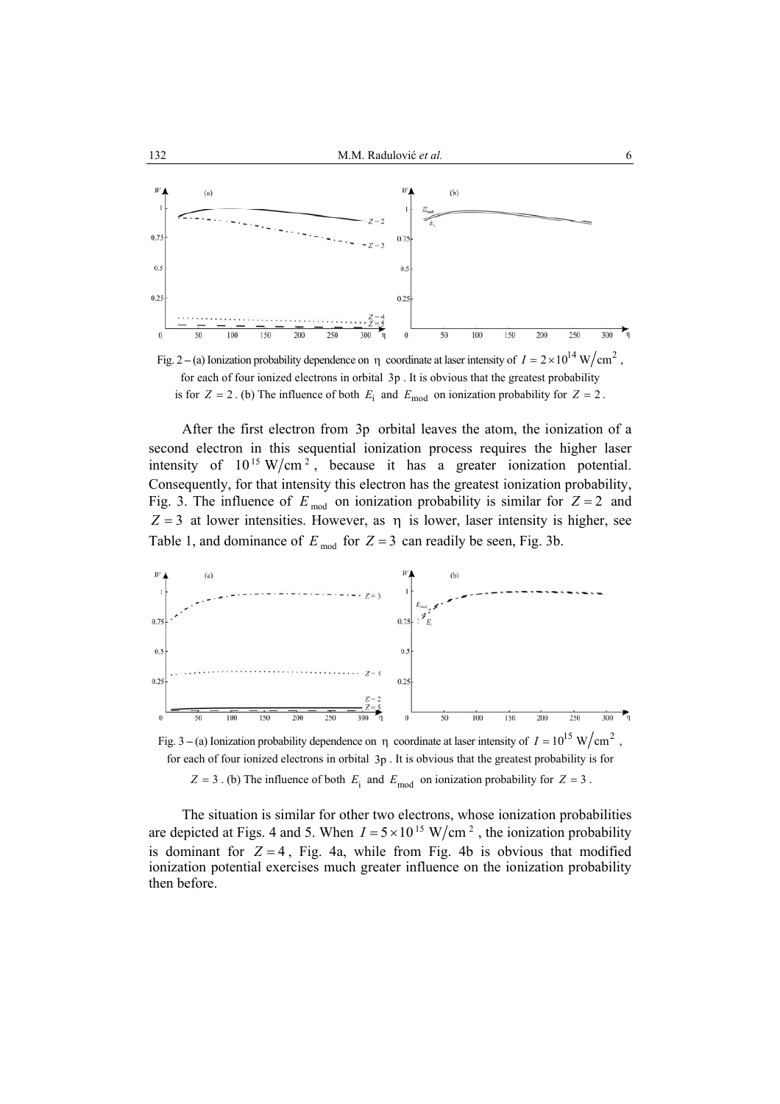

Fig. 2–(a) Ionization probability dependence on  $\eta$  coordinate at laser intensity of  $I = 2 \times 10^{14} \text{ W/cm}^2$ . for each of four ionized electrons in orbital 3p . It is obvious that the greatest probability is for  $Z = 2$ . (b) The influence of both  $E_i$  and  $E_{\text{mod}}$  on ionization probability for  $Z = 2$ .

After the first electron from 3p orbital leaves the atom, the ionization of a second electron in this sequential ionization process requires the higher laser intensity of  $10^{15}$  W/cm<sup>2</sup>, because it has a greater ionization potential. Consequently, for that intensity this electron has the greatest ionization probability, Fig. 3. The influence of  $E_{mod}$  on ionization probability is similar for  $Z = 2$  and  $Z = 3$  at lower intensities. However, as  $\eta$  is lower, laser intensity is higher, see Table 1, and dominance of  $E_{mod}$  for  $Z = 3$  can readily be seen, Fig. 3b.



Fig. 3 – (a) Ionization probability dependence on  $\eta$  coordinate at laser intensity of  $I = 10^{15}$  W/cm<sup>2</sup> for each of four ionized electrons in orbital 3p . It is obvious that the greatest probability is for  $Z = 3$ . (b) The influence of both  $E_i$  and  $E_{\text{mod}}$  on ionization probability for  $Z = 3$ .

The situation is similar for other two electrons, whose ionization probabilities are depicted at Figs. 4 and 5. When  $I = 5 \times 10^{15}$  W/cm<sup>2</sup>, the ionization probability is dominant for  $Z = 4$ , Fig. 4a, while from Fig. 4b is obvious that modified ionization potential exercises much greater influence on the ionization probability then before.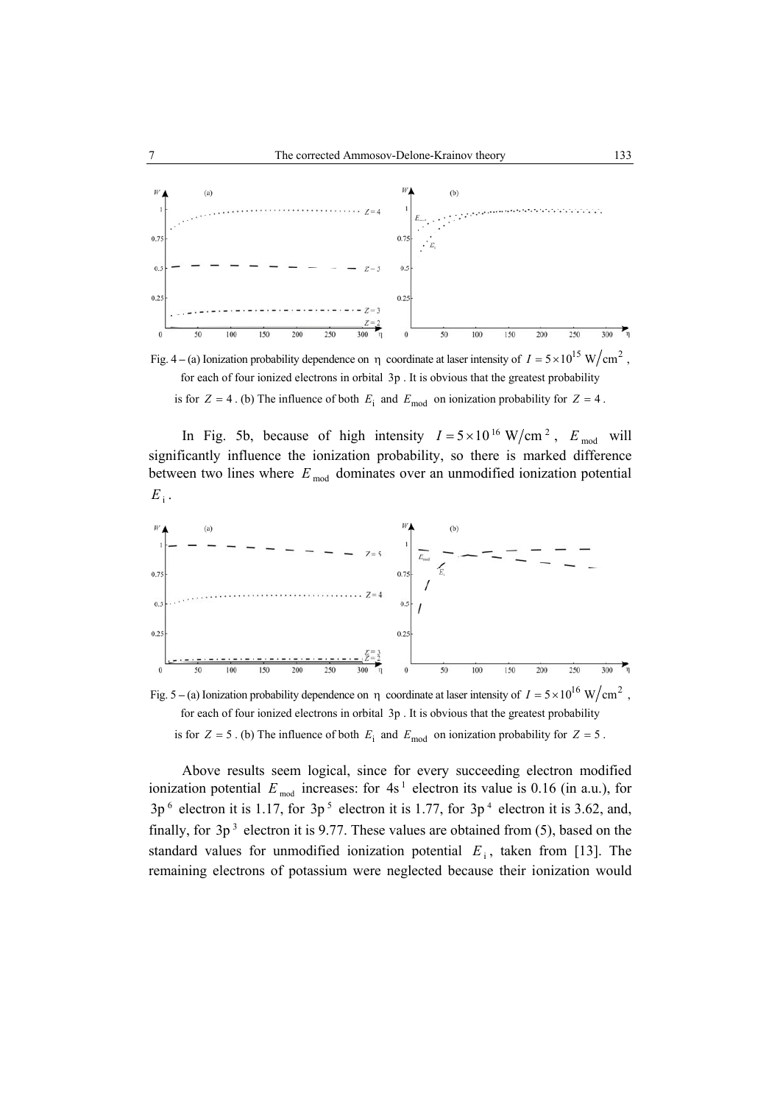

Fig. 4 – (a) Ionization probability dependence on  $\eta$  coordinate at laser intensity of  $I = 5 \times 10^{15} \text{ W/cm}^2$ , for each of four ionized electrons in orbital 3p . It is obvious that the greatest probability

is for  $Z = 4$ . (b) The influence of both  $E_i$  and  $E_{\text{mod}}$  on ionization probability for  $Z = 4$ .

In Fig. 5b, because of high intensity  $I = 5 \times 10^{16} \text{ W/cm}^2$ ,  $E_{\text{mod}}$  will significantly influence the ionization probability, so there is marked difference between two lines where  $E_{mod}$  dominates over an unmodified ionization potential  $E_i$ .



Fig. 5 – (a) Ionization probability dependence on η coordinate at laser intensity of  $I = 5 \times 10^{16}$  W/cm<sup>2</sup>. for each of four ionized electrons in orbital 3p . It is obvious that the greatest probability is for  $Z = 5$ . (b) The influence of both  $E_i$  and  $E_{\text{mod}}$  on ionization probability for  $Z = 5$ .

Above results seem logical, since for every succeeding electron modified ionization potential  $E_{mod}$  increases: for  $4s<sup>1</sup>$  electron its value is 0.16 (in a.u.), for  $3p^6$  electron it is 1.17, for  $3p^5$  electron it is 1.77, for  $3p^4$  electron it is 3.62, and, finally, for  $3p^3$  electron it is 9.77. These values are obtained from (5), based on the standard values for unmodified ionization potential  $E_i$ , taken from [13]. The remaining electrons of potassium were neglected because their ionization would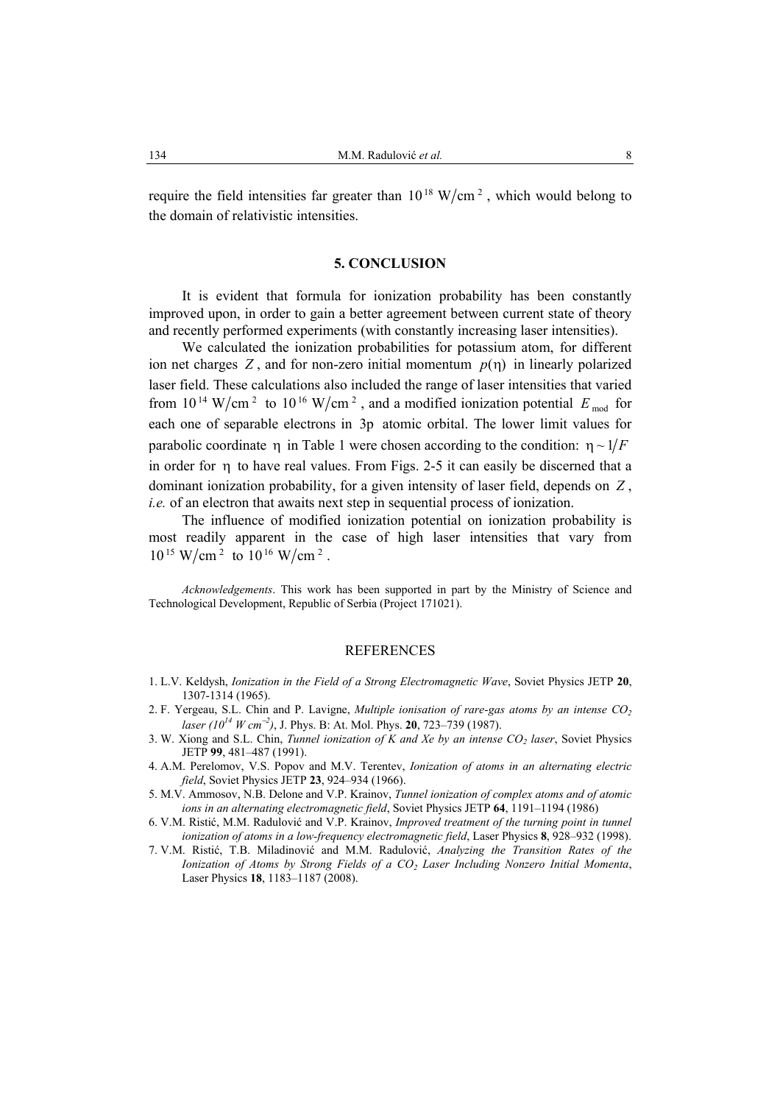require the field intensities far greater than  $10^{18}$  W/cm<sup>2</sup>, which would belong to the domain of relativistic intensities.

#### **5. CONCLUSION**

It is evident that formula for ionization probability has been constantly improved upon, in order to gain a better agreement between current state of theory and recently performed experiments (with constantly increasing laser intensities).

We calculated the ionization probabilities for potassium atom, for different ion net charges  $Z$ , and for non-zero initial momentum  $p(\eta)$  in linearly polarized laser field. These calculations also included the range of laser intensities that varied from  $10^{14}$  W/cm<sup>2</sup> to  $10^{16}$  W/cm<sup>2</sup>, and a modified ionization potential  $E_{mod}$  for each one of separable electrons in 3p atomic orbital. The lower limit values for parabolic coordinate  $\eta$  in Table 1 were chosen according to the condition:  $\eta \sim 1/F$ in order for η to have real values. From Figs. 2-5 it can easily be discerned that a dominant ionization probability, for a given intensity of laser field, depends on *Z* , *i.e.* of an electron that awaits next step in sequential process of ionization.

The influence of modified ionization potential on ionization probability is most readily apparent in the case of high laser intensities that vary from  $10^{15}$  W/cm<sup>2</sup> to  $10^{16}$  W/cm<sup>2</sup>.

*Acknowledgements*. This work has been supported in part by the Ministry of Science and Technological Development, Republic of Serbia (Project 171021).

#### REFERENCES

- 1. L.V. Keldysh, *Ionization in the Field of a Strong Electromagnetic Wave*, Soviet Physics JETP **20**, 1307-1314 (1965).
- 2. F. Yergeau, S.L. Chin and P. Lavigne, *Multiple ionisation of rare-gas atoms by an intense CO2 laser (1014 W cm*−*<sup>2</sup> )*, J. Phys. B: At. Mol. Phys. **20**, 723–739 (1987).
- 3. W. Xiong and S.L. Chin, *Tunnel ionization of K and Xe by an intense CO<sub>2</sub> laser*, Soviet Physics JETP **99**, 481–487 (1991).
- 4. A.M. Perelomov, V.S. Popov and M.V. Terentev, *Ionization of atoms in an alternating electric field*, Soviet Physics JETP **23**, 924–934 (1966).
- 5. M.V. Ammosov, N.B. Delone and V.P. Krainov, *Tunnel ionization of complex atoms and of atomic ions in an alternating electromagnetic field*, Soviet Physics JETP **64**, 1191–1194 (1986)
- 6. V.M. Ristić, M.M. Radulović and V.P. Krainov, *Improved treatment of the turning point in tunnel ionization of atoms in a low-frequency electromagnetic field*, Laser Physics **8**, 928–932 (1998).
- 7. V.M. Ristić, T.B. Miladinović and M.M. Radulović, *Analyzing the Transition Rates of the Ionization of Atoms by Strong Fields of a CO2 Laser Including Nonzero Initial Momenta*, Laser Physics **18**, 1183–1187 (2008).